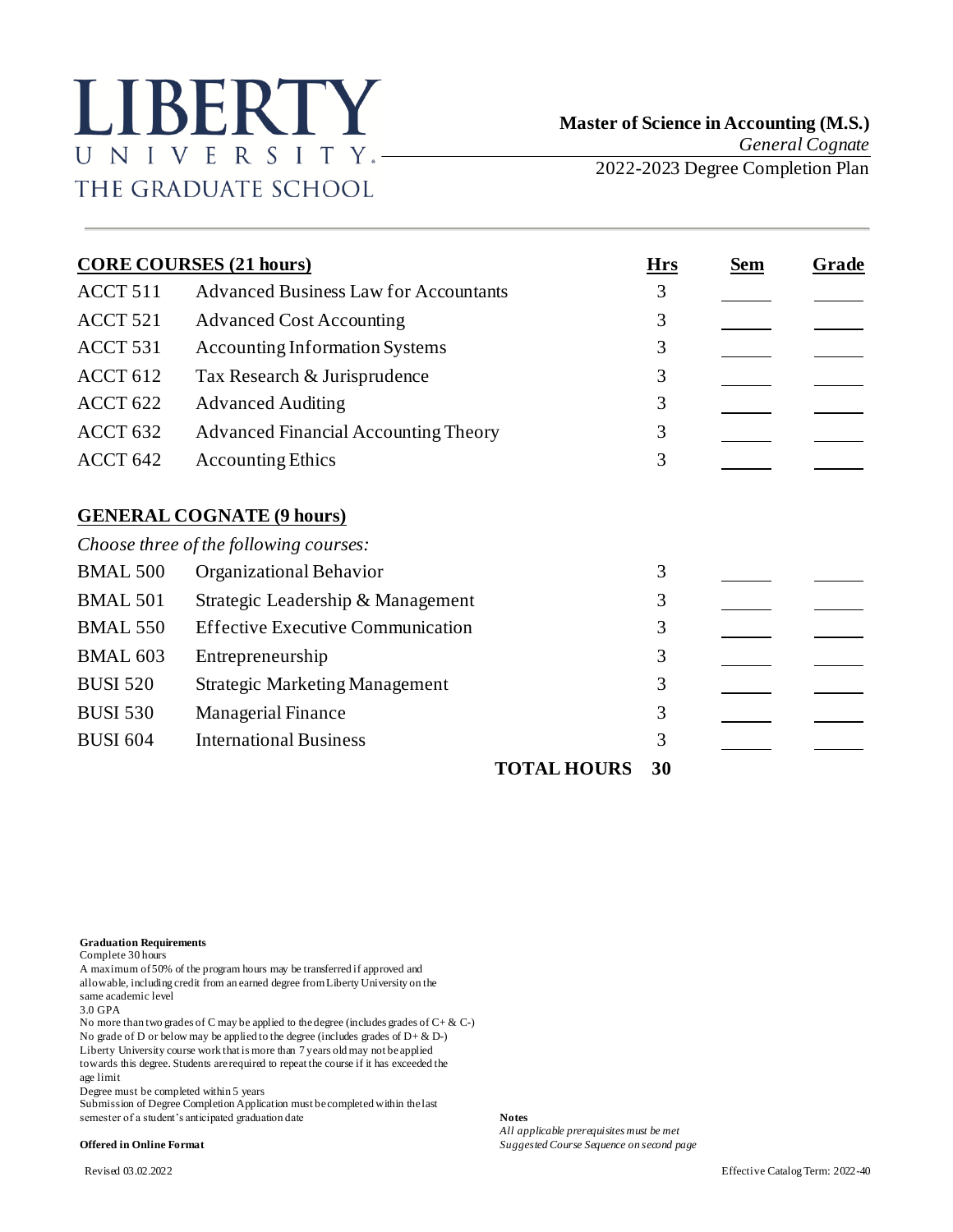## LIBERTY UNIVERSITY.-THE GRADUATE SCHOOL

| <b>CORE COURSES (21 hours)</b> |                                                                            | <b>Hrs</b> | Sem | Grade |
|--------------------------------|----------------------------------------------------------------------------|------------|-----|-------|
| ACCT 511                       | <b>Advanced Business Law for Accountants</b>                               | 3          |     |       |
| ACCT 521                       | <b>Advanced Cost Accounting</b>                                            | 3          |     |       |
| ACCT 531                       | <b>Accounting Information Systems</b>                                      | 3          |     |       |
| ACCT <sub>612</sub>            | Tax Research & Jurisprudence                                               | 3          |     |       |
| ACCT <sub>622</sub>            | <b>Advanced Auditing</b>                                                   | 3          |     |       |
| ACCT <sub>632</sub>            | <b>Advanced Financial Accounting Theory</b>                                | 3          |     |       |
| ACCT 642                       | <b>Accounting Ethics</b>                                                   | 3          |     |       |
|                                | <b>GENERAL COGNATE (9 hours)</b><br>Choose three of the following courses: |            |     |       |
| <b>BMAL 500</b>                | Organizational Behavior                                                    | 3          |     |       |
| <b>BMAL 501</b>                | Strategic Leadership & Management                                          | 3          |     |       |
| <b>BMAL 550</b>                | <b>Effective Executive Communication</b>                                   | 3          |     |       |
| <b>BMAL 603</b>                | Entrepreneurship                                                           | 3          |     |       |
| <b>BUSI 520</b>                | <b>Strategic Marketing Management</b>                                      | 3          |     |       |
| <b>BUSI 530</b>                | <b>Managerial Finance</b>                                                  | 3          |     |       |
| <b>BUSI 604</b>                | <b>International Business</b>                                              | 3          |     |       |
|                                | <b>TOTAL HOURS</b>                                                         | 30         |     |       |

**Graduation Requirements**

Complete 30 hours

A maximum of 50% of the program hours may be transferred if approved and allowable, including credit from an earned degree from Liberty University on the same academic level 3.0 GPA

No more than two grades of C may be applied to the degree (includes grades of C+ & C-) No grade of D or below may be applied to the degree (includes grades of  $D + \& D$ -) Liberty University course work that is more than 7 years old may not be applied towards this degree. Students are required to repeat the course if it has exceeded the age limit

Degree must be completed within 5 years

Submission of Degree Completion Application must be completed within the last semester of a student's anticipated graduation date **Notes**

*All applicable prerequisites must be met* **Offered in Online Format** *Suggested Course Sequence on second page*